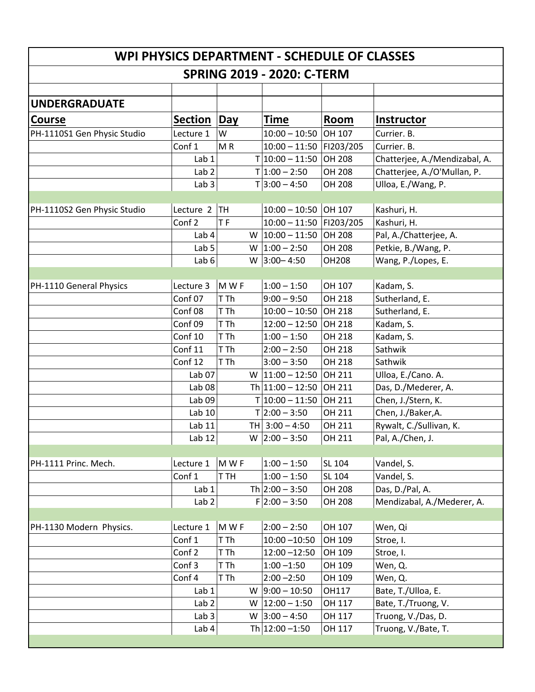| WPI PHYSICS DEPARTMENT - SCHEDULE OF CLASSES<br><b>SPRING 2019 - 2020: C-TERM</b> |                    |           |                           |               |                               |  |  |  |
|-----------------------------------------------------------------------------------|--------------------|-----------|---------------------------|---------------|-------------------------------|--|--|--|
|                                                                                   |                    |           |                           |               |                               |  |  |  |
| <b>UNDERGRADUATE</b>                                                              |                    |           |                           |               |                               |  |  |  |
| <b>Course</b>                                                                     | <b>Section</b>     | Day       | <b>Time</b>               | <b>Room</b>   | Instructor                    |  |  |  |
| PH-1110S1 Gen Physic Studio                                                       | Lecture 1          | W         | $10:00 - 10:50$           | OH 107        | Currier. B.                   |  |  |  |
|                                                                                   | Conf 1             | MR        | 10:00 - 11:50   FI203/205 |               | Currier. B.                   |  |  |  |
|                                                                                   | Lab 1              |           | $T 10:00 - 11:50$         | OH 208        | Chatterjee, A./Mendizabal, A. |  |  |  |
|                                                                                   | Lab <sub>2</sub>   |           | $T 1:00 - 2:50$           | OH 208        | Chatterjee, A./O'Mullan, P.   |  |  |  |
|                                                                                   | Lab <sub>3</sub>   |           | $T$ 3:00 - 4:50           | OH 208        | Ulloa, E./Wang, P.            |  |  |  |
|                                                                                   |                    |           |                           |               |                               |  |  |  |
| PH-1110S2 Gen Physic Studio                                                       | Lecture 2          | TH        | $10:00 - 10:50$ OH 107    |               | Kashuri, H.                   |  |  |  |
|                                                                                   | Conf <sub>2</sub>  | <b>TF</b> | 10:00 - 11:50 FI203/205   |               | Kashuri, H.                   |  |  |  |
|                                                                                   | Lab <sub>4</sub>   | W         | $10:00 - 11:50$           | <b>OH 208</b> | Pal, A./Chatterjee, A.        |  |  |  |
|                                                                                   | Lab <sub>5</sub>   | W         | $1:00 - 2:50$             | OH 208        | Petkie, B./Wang, P.           |  |  |  |
|                                                                                   | Lab <sub>6</sub>   |           | W $ 3:00 - 4:50$          | <b>OH208</b>  | Wang, P./Lopes, E.            |  |  |  |
|                                                                                   |                    |           |                           |               |                               |  |  |  |
| PH-1110 General Physics                                                           | Lecture 3          | MWF       | $1:00 - 1:50$             | OH 107        | Kadam, S.                     |  |  |  |
|                                                                                   | Conf <sub>07</sub> | T Th      | $9:00 - 9:50$             | OH 218        | Sutherland, E.                |  |  |  |
|                                                                                   | Conf 08            | T Th      | $10:00 - 10:50$ OH 218    |               | Sutherland, E.                |  |  |  |
|                                                                                   | Conf 09            | T Th      | $12:00 - 12:50$           | OH 218        | Kadam, S.                     |  |  |  |
|                                                                                   | Conf 10            | T Th      | $1:00 - 1:50$             | OH 218        | Kadam, S.                     |  |  |  |
|                                                                                   | Conf 11            | T Th      | $2:00 - 2:50$             | OH 218        | Sathwik                       |  |  |  |
|                                                                                   | Conf 12            | T Th      | $3:00 - 3:50$             | OH 218        | Sathwik                       |  |  |  |
|                                                                                   | Lab <sub>07</sub>  |           | W $11:00 - 12:50$         | OH 211        | Ulloa, E./Cano. A.            |  |  |  |
|                                                                                   | Lab <sub>08</sub>  |           | Th $11:00 - 12:50$        | OH 211        | Das, D./Mederer, A.           |  |  |  |
|                                                                                   | Lab 09             |           | $T 10:00 - 11:50$         | OH 211        | Chen, J./Stern, K.            |  |  |  |
|                                                                                   | Lab 10             |           | $T$  2:00 - 3:50          | OH 211        | Chen, J./Baker, A.            |  |  |  |
|                                                                                   | Lab 11             |           | TH 3:00 - 4:50            | OH 211        | Rywalt, C./Sullivan, K.       |  |  |  |
|                                                                                   | Lab $12$           |           | W $ 2:00 - 3:50 $         | OH 211        | Pal, A./Chen, J.              |  |  |  |
|                                                                                   |                    |           |                           |               |                               |  |  |  |
| PH-1111 Princ. Mech.                                                              | Lecture 1          | M W F     | $1:00 - 1:50$             | SL 104        | Vandel, S.                    |  |  |  |
|                                                                                   | Conf 1             | T TH      | $1:00 - 1:50$             | SL 104        | Vandel, S.                    |  |  |  |
|                                                                                   | Lab 1              |           | Th $2:00 - 3:50$          | OH 208        | Das, D./Pal, A.               |  |  |  |
|                                                                                   | Lab $2 $           |           | $F 2:00 - 3:50$           | OH 208        | Mendizabal, A./Mederer, A.    |  |  |  |
|                                                                                   |                    |           |                           |               |                               |  |  |  |
| PH-1130 Modern Physics.                                                           | Lecture 1          | M W F     | $2:00 - 2:50$             | OH 107        | Wen, Qi                       |  |  |  |
|                                                                                   | Conf 1             | T Th      | $10:00 - 10:50$           | OH 109        | Stroe, I.                     |  |  |  |
|                                                                                   | Conf 2             | T Th      | $12:00 - 12:50$           | OH 109        | Stroe, I.                     |  |  |  |
|                                                                                   | Conf 3             | T Th      | $1:00 - 1:50$             | OH 109        | Wen, Q.                       |  |  |  |
|                                                                                   | Conf 4             | T Th      | $2:00 - 2:50$             | OH 109        | Wen, Q.                       |  |  |  |
|                                                                                   | Lab 1              | W         | $9:00 - 10:50$            | OH117         | Bate, T./Ulloa, E.            |  |  |  |
|                                                                                   | Lab <sub>2</sub>   |           | W $ 12:00 - 1:50$         | OH 117        | Bate, T./Truong, V.           |  |  |  |
|                                                                                   | Lab $3$            | W         | $ 3:00 - 4:50 $           | OH 117        | Truong, V./Das, D.            |  |  |  |
|                                                                                   | Lab $4$            |           | Th $12:00 - 1:50$         | OH 117        | Truong, V./Bate, T.           |  |  |  |
|                                                                                   |                    |           |                           |               |                               |  |  |  |